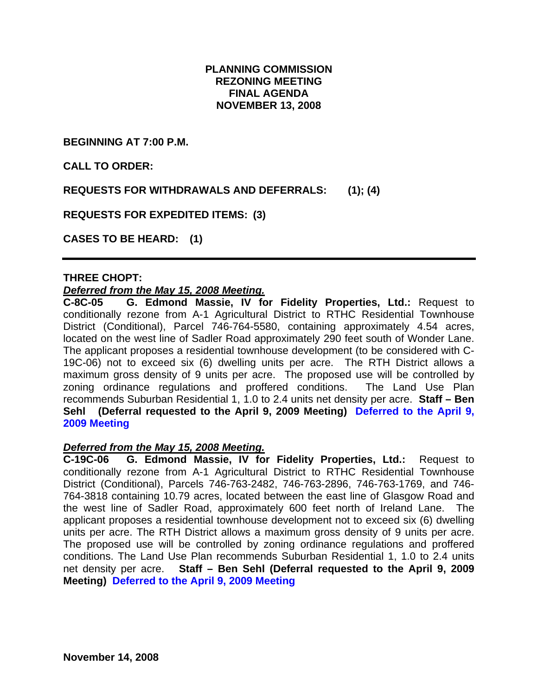# **PLANNING COMMISSION REZONING MEETING FINAL AGENDA NOVEMBER 13, 2008**

**BEGINNING AT 7:00 P.M.** 

**CALL TO ORDER:** 

**REQUESTS FOR WITHDRAWALS AND DEFERRALS: (1); (4)** 

**REQUESTS FOR EXPEDITED ITEMS: (3)** 

**CASES TO BE HEARD: (1)** 

## **THREE CHOPT:**

#### *Deferred from the May 15, 2008 Meeting.*

**C-8C-05 G. Edmond Massie, IV for Fidelity Properties, Ltd.:** Request to conditionally rezone from A-1 Agricultural District to RTHC Residential Townhouse District (Conditional), Parcel 746-764-5580, containing approximately 4.54 acres, located on the west line of Sadler Road approximately 290 feet south of Wonder Lane. The applicant proposes a residential townhouse development (to be considered with C-19C-06) not to exceed six (6) dwelling units per acre. The RTH District allows a maximum gross density of 9 units per acre. The proposed use will be controlled by zoning ordinance regulations and proffered conditions. The Land Use Plan recommends Suburban Residential 1, 1.0 to 2.4 units net density per acre. **Staff – Ben Sehl (Deferral requested to the April 9, 2009 Meeting) Deferred to the April 9, 2009 Meeting** 

#### *Deferred from the May 15, 2008 Meeting.*

**C-19C-06 G. Edmond Massie, IV for Fidelity Properties, Ltd.:** Request to conditionally rezone from A-1 Agricultural District to RTHC Residential Townhouse District (Conditional), Parcels 746-763-2482, 746-763-2896, 746-763-1769, and 746- 764-3818 containing 10.79 acres, located between the east line of Glasgow Road and the west line of Sadler Road, approximately 600 feet north of Ireland Lane. The applicant proposes a residential townhouse development not to exceed six (6) dwelling units per acre. The RTH District allows a maximum gross density of 9 units per acre. The proposed use will be controlled by zoning ordinance regulations and proffered conditions. The Land Use Plan recommends Suburban Residential 1, 1.0 to 2.4 units net density per acre. **Staff – Ben Sehl (Deferral requested to the April 9, 2009 Meeting) Deferred to the April 9, 2009 Meeting**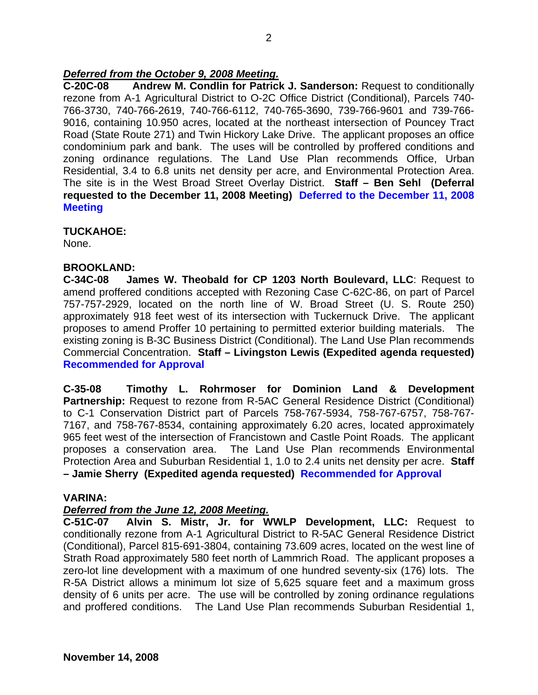# *Deferred from the October 9, 2008 Meeting.*

**C-20C-08 Andrew M. Condlin for Patrick J. Sanderson:** Request to conditionally rezone from A-1 Agricultural District to O-2C Office District (Conditional), Parcels 740- 766-3730, 740-766-2619, 740-766-6112, 740-765-3690, 739-766-9601 and 739-766- 9016, containing 10.950 acres, located at the northeast intersection of Pouncey Tract Road (State Route 271) and Twin Hickory Lake Drive. The applicant proposes an office condominium park and bank. The uses will be controlled by proffered conditions and zoning ordinance regulations. The Land Use Plan recommends Office, Urban Residential, 3.4 to 6.8 units net density per acre, and Environmental Protection Area. The site is in the West Broad Street Overlay District. **Staff – Ben Sehl (Deferral requested to the December 11, 2008 Meeting) Deferred to the December 11, 2008 Meeting** 

## **TUCKAHOE:**

None.

## **BROOKLAND:**

**C-34C-08 James W. Theobald for CP 1203 North Boulevard, LLC**: Request to amend proffered conditions accepted with Rezoning Case C-62C-86, on part of Parcel 757-757-2929, located on the north line of W. Broad Street (U. S. Route 250) approximately 918 feet west of its intersection with Tuckernuck Drive. The applicant proposes to amend Proffer 10 pertaining to permitted exterior building materials. The existing zoning is B-3C Business District (Conditional). The Land Use Plan recommends Commercial Concentration. **Staff – Livingston Lewis (Expedited agenda requested) Recommended for Approval**

**C-35-08 Timothy L. Rohrmoser for Dominion Land & Development Partnership:** Request to rezone from R-5AC General Residence District (Conditional) to C-1 Conservation District part of Parcels 758-767-5934, 758-767-6757, 758-767- 7167, and 758-767-8534, containing approximately 6.20 acres, located approximately 965 feet west of the intersection of Francistown and Castle Point Roads. The applicant proposes a conservation area. The Land Use Plan recommends Environmental Protection Area and Suburban Residential 1, 1.0 to 2.4 units net density per acre. **Staff – Jamie Sherry (Expedited agenda requested) Recommended for Approval** 

#### **VARINA:**

# *Deferred from the June 12, 2008 Meeting.*

**C-51C-07 Alvin S. Mistr, Jr. for WWLP Development, LLC:** Request to conditionally rezone from A-1 Agricultural District to R-5AC General Residence District (Conditional), Parcel 815-691-3804, containing 73.609 acres, located on the west line of Strath Road approximately 580 feet north of Lammrich Road. The applicant proposes a zero-lot line development with a maximum of one hundred seventy-six (176) lots. The R-5A District allows a minimum lot size of 5,625 square feet and a maximum gross density of 6 units per acre. The use will be controlled by zoning ordinance regulations and proffered conditions. The Land Use Plan recommends Suburban Residential 1,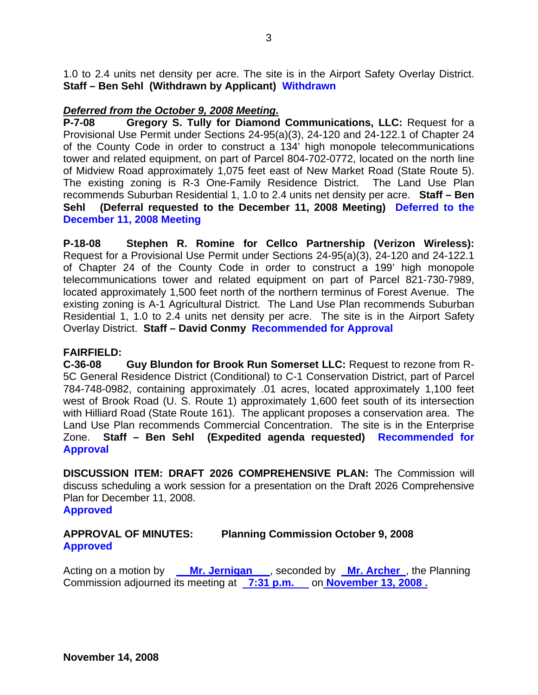1.0 to 2.4 units net density per acre. The site is in the Airport Safety Overlay District. **Staff – Ben Sehl (Withdrawn by Applicant) Withdrawn** 

# *Deferred from the October 9, 2008 Meeting.*

**P-7-08 Gregory S. Tully for Diamond Communications, LLC:** Request for a Provisional Use Permit under Sections 24-95(a)(3), 24-120 and 24-122.1 of Chapter 24 of the County Code in order to construct a 134' high monopole telecommunications tower and related equipment, on part of Parcel 804-702-0772, located on the north line of Midview Road approximately 1,075 feet east of New Market Road (State Route 5). The existing zoning is R-3 One-Family Residence District. The Land Use Plan recommends Suburban Residential 1, 1.0 to 2.4 units net density per acre. **Staff – Ben Sehl (Deferral requested to the December 11, 2008 Meeting) Deferred to the December 11, 2008 Meeting** 

**P-18-08 Stephen R. Romine for Cellco Partnership (Verizon Wireless):** Request for a Provisional Use Permit under Sections 24-95(a)(3), 24-120 and 24-122.1 of Chapter 24 of the County Code in order to construct a 199' high monopole telecommunications tower and related equipment on part of Parcel 821-730-7989, located approximately 1,500 feet north of the northern terminus of Forest Avenue. The existing zoning is A-1 Agricultural District. The Land Use Plan recommends Suburban Residential 1, 1.0 to 2.4 units net density per acre. The site is in the Airport Safety Overlay District. **Staff – David Conmy Recommended for Approval** 

# **FAIRFIELD:**

**C-36-08 Guy Blundon for Brook Run Somerset LLC:** Request to rezone from R-5C General Residence District (Conditional) to C-1 Conservation District, part of Parcel 784-748-0982, containing approximately .01 acres, located approximately 1,100 feet west of Brook Road (U. S. Route 1) approximately 1,600 feet south of its intersection with Hilliard Road (State Route 161). The applicant proposes a conservation area. The Land Use Plan recommends Commercial Concentration. The site is in the Enterprise Zone. **Staff – Ben Sehl (Expedited agenda requested) Recommended for Approval** 

**DISCUSSION ITEM: DRAFT 2026 COMPREHENSIVE PLAN:** The Commission will discuss scheduling a work session for a presentation on the Draft 2026 Comprehensive Plan for December 11, 2008.

#### **Approved**

# **APPROVAL OF MINUTES: Planning Commission October 9, 2008 Approved**

Acting on a motion by **Mr. Jernigan** , seconded by **Mr. Archer** , the Planning Commission adjourned its meeting at **7:31 p.m.** on **November 13, 2008.**